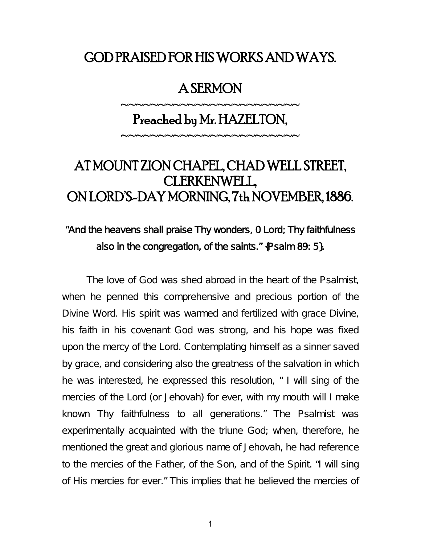## GOD PRAISED FOR HIS WORKS AND WAYS.

### A SERMON

# Preached by Mr. HAZELTON,

~~~~~~~~~~~~~~~~~~~~~~~

~~~~~~~~~~~~~~~~~~~~~~~

# AT MOUNT ZION CHAPEL, CHAD WELL STREET, CLERKENWELL, ON LORD'S-DAY MORNING, 7th NOVEMBER, 1886.

### "And the heavens shall praise Thy wonders, 0 Lord; Thy faithfulness also in the congregation, of the saints." {Psalm 89: 5}.

The love of God was shed abroad in the heart of the Psalmist, when he penned this comprehensive and precious portion of the Divine Word. His spirit was warmed and fertilized with grace Divine, his faith in his covenant God was strong, and his hope was fixed upon the mercy of the Lord. Contemplating himself as a sinner saved by grace, and considering also the greatness of the salvation in which he was interested, he expressed this resolution, " I will sing of the mercies of the Lord (or Jehovah) for ever, with my mouth will I make known Thy faithfulness to all generations." The Psalmist was experimentally acquainted with the triune God; when, therefore, he mentioned the great and glorious name of Jehovah, he had reference to the mercies of the Father, of the Son, and of the Spirit. "I will sing of His mercies for ever." This implies that he believed the mercies of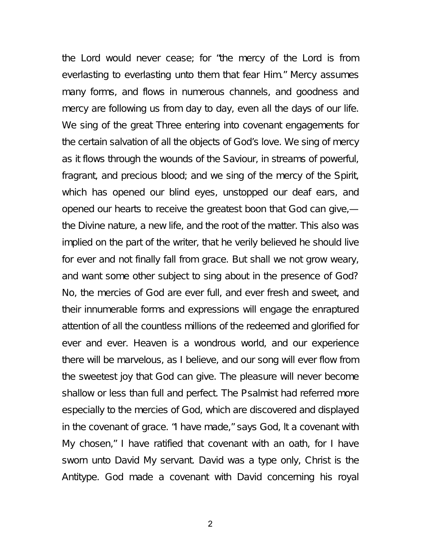the Lord would never cease; for "the mercy of the Lord is from everlasting to everlasting unto them that fear Him." Mercy assumes many forms, and flows in numerous channels, and goodness and mercy are following us from day to day, even all the days of our life. We sing of the great Three entering into covenant engagements for the certain salvation of all the objects of God's love. We sing of mercy as it flows through the wounds of the Saviour, in streams of powerful, fragrant, and precious blood; and we sing of the mercy of the Spirit, which has opened our blind eyes, unstopped our deaf ears, and opened our hearts to receive the greatest boon that God can give, the Divine nature, a new life, and the root of the matter. This also was implied on the part of the writer, that he verily believed he should live for ever and not finally fall from grace. But shall we not grow weary, and want some other subject to sing about in the presence of God? No, the mercies of God are ever full, and ever fresh and sweet, and their innumerable forms and expressions will engage the enraptured attention of all the countless millions of the redeemed and glorified for ever and ever. Heaven is a wondrous world, and our experience there will be marvelous, as I believe, and our song will ever flow from the sweetest joy that God can give. The pleasure will never become shallow or less than full and perfect. The Psalmist had referred more especially to the mercies of God, which are discovered and displayed in the covenant of grace. "I have made," says God, lt a covenant with My chosen," I have ratified that covenant with an oath, for I have sworn unto David My servant. David was a type only, Christ is the Antitype. God made a covenant with David concerning his royal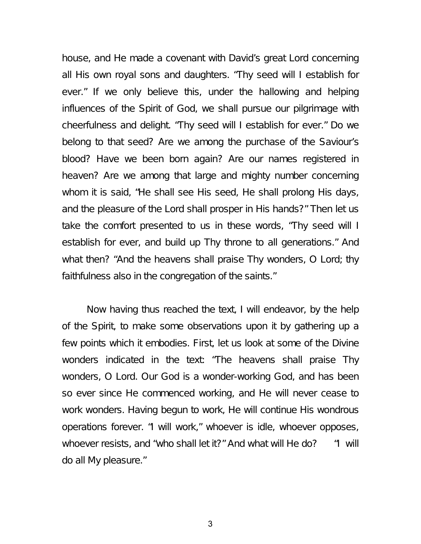house, and He made a covenant with David's great Lord concerning all His own royal sons and daughters. "Thy seed will I establish for ever." If we only believe this, under the hallowing and helping influences of the Spirit of God, we shall pursue our pilgrimage with cheerfulness and delight. "Thy seed will I establish for ever." Do we belong to that seed? Are we among the purchase of the Saviour's blood? Have we been born again? Are our names registered in heaven? Are we among that large and mighty number concerning whom it is said, "He shall see His seed, He shall prolong His days, and the pleasure of the Lord shall prosper in His hands?" Then let us take the comfort presented to us in these words, "Thy seed will I establish for ever, and build up Thy throne to all generations." And what then? "And the heavens shall praise Thy wonders, O Lord; thy faithfulness also in the congregation of the saints."

Now having thus reached the text, I will endeavor, by the help of the Spirit, to make some observations upon it by gathering up a few points which it embodies. First, let us look at some of the Divine wonders indicated in the text: "The heavens shall praise Thy wonders, O Lord. Our God is a wonder-working God, and has been so ever since He commenced working, and He will never cease to work wonders. Having begun to work, He will continue His wondrous operations forever. "I will work," whoever is idle, whoever opposes, whoever resists, and "who shall let it?" And what will He do? "I will do all My pleasure."

3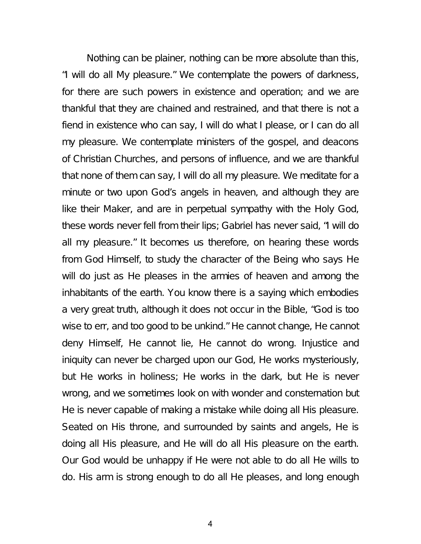Nothing can be plainer, nothing can be more absolute than this, "I will do all My pleasure." We contemplate the powers of darkness, for there are such powers in existence and operation; and we are thankful that they are chained and restrained, and that there is not a fiend in existence who can say, I will do what I please, or I can do all my pleasure. We contemplate ministers of the gospel, and deacons of Christian Churches, and persons of influence, and we are thankful that none of them can say, I will do all my pleasure. We meditate for a minute or two upon God's angels in heaven, and although they are like their Maker, and are in perpetual sympathy with the Holy God, these words never fell from their lips; Gabriel has never said, "I will do all my pleasure." It becomes us therefore, on hearing these words from God Himself, to study the character of the Being who says He will do just as He pleases in the armies of heaven and among the inhabitants of the earth. You know there is a saying which embodies a very great truth, although it does not occur in the Bible, "God is too wise to err, and too good to be unkind." He cannot change, He cannot deny Himself, He cannot lie, He cannot do wrong. Injustice and iniquity can never be charged upon our God, He works mysteriously, but He works in holiness; He works in the dark, but He is never wrong, and we sometimes look on with wonder and consternation but He is never capable of making a mistake while doing all His pleasure. Seated on His throne, and surrounded by saints and angels, He is doing all His pleasure, and He will do all His pleasure on the earth. Our God would be unhappy if He were not able to do all He wills to do. His arm is strong enough to do all He pleases, and long enough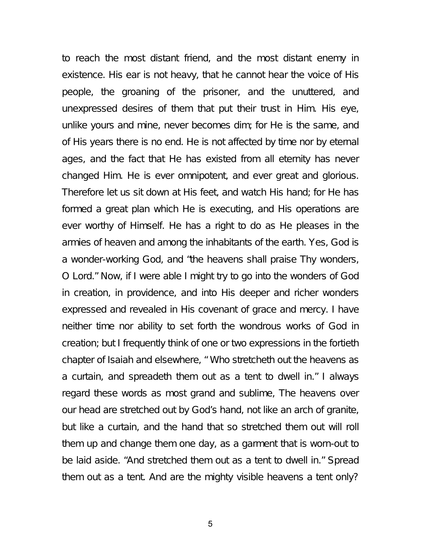to reach the most distant friend, and the most distant enemy in existence. His ear is not heavy, that he cannot hear the voice of His people, the groaning of the prisoner, and the unuttered, and unexpressed desires of them that put their trust in Him. His eye, unlike yours and mine, never becomes dim; for He is the same, and of His years there is no end. He is not affected by time nor by eternal ages, and the fact that He has existed from all eternity has never changed Him. He is ever omnipotent, and ever great and glorious. Therefore let us sit down at His feet, and watch His hand; for He has formed a great plan which He is executing, and His operations are ever worthy of Himself. He has a right to do as He pleases in the armies of heaven and among the inhabitants of the earth. Yes, God is a wonder-working God, and "the heavens shall praise Thy wonders, O Lord." Now, if I were able I might try to go into the wonders of God in creation, in providence, and into His deeper and richer wonders expressed and revealed in His covenant of grace and mercy. I have neither time nor ability to set forth the wondrous works of God in creation; but I frequently think of one or two expressions in the fortieth chapter of Isaiah and elsewhere, " Who stretcheth out the heavens as a curtain, and spreadeth them out as a tent to dwell in." I always regard these words as most grand and sublime, The heavens over our head are stretched out by God's hand, not like an arch of granite, but like a curtain, and the hand that so stretched them out will roll them up and change them one day, as a garment that is worn-out to be laid aside. "And stretched them out as a tent to dwell in." Spread them out as a tent. And are the mighty visible heavens a tent only?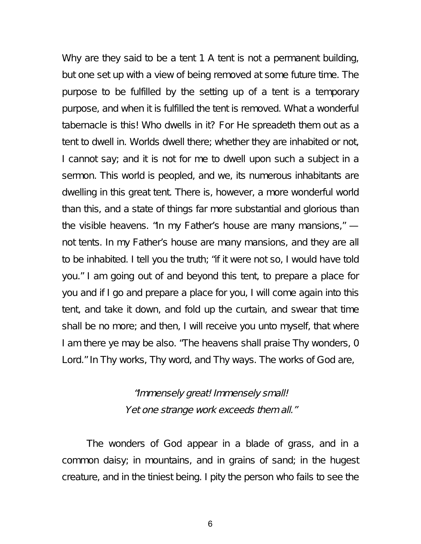Why are they said to be a tent 1 A tent is not a permanent building, but one set up with a view of being removed at some future time. The purpose to be fulfilled by the setting up of a tent is a temporary purpose, and when it is fulfilled the tent is removed. What a wonderful tabernacle is this! Who dwells in it? For He spreadeth them out as a tent to dwell in. Worlds dwell there; whether they are inhabited or not, I cannot say; and it is not for me to dwell upon such a subject in a sermon. This world is peopled, and we, its numerous inhabitants are dwelling in this great tent. There is, however, a more wonderful world than this, and a state of things far more substantial and glorious than the visible heavens. "In my Father's house are many mansions," not tents. In my Father's house are many mansions, and they are all to be inhabited. I tell you the truth; "if it were not so, I would have told you." I am going out of and beyond this tent, to prepare a place for you and if I go and prepare a place for you, I will come again into this tent, and take it down, and fold up the curtain, and swear that time shall be no more; and then, I will receive you unto myself, that where I am there ye may be also. "The heavens shall praise Thy wonders, 0 Lord." In Thy works, Thy word, and Thy ways. The works of God are,

> "Immensely great! Immensely small! Yet one strange work exceeds them all."

The wonders of God appear in a blade of grass, and in a common daisy; in mountains, and in grains of sand; in the hugest creature, and in the tiniest being. I pity the person who fails to see the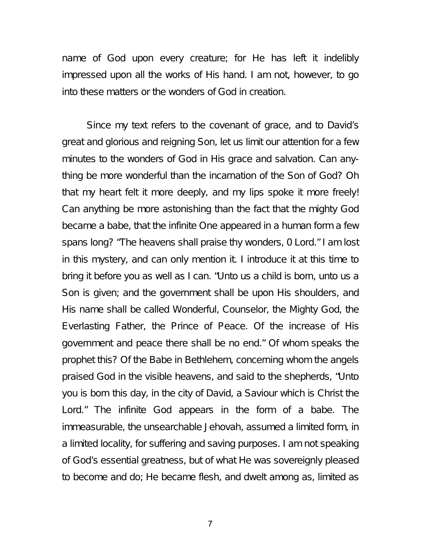name of God upon every creature; for He has left it indelibly impressed upon all the works of His hand. I am not, however, to go into these matters or the wonders of God in creation.

Since my text refers to the covenant of grace, and to David's great and glorious and reigning Son, let us limit our attention for a few minutes to the wonders of God in His grace and salvation. Can anything be more wonderful than the incarnation of the Son of God? Oh that my heart felt it more deeply, and my lips spoke it more freely! Can anything be more astonishing than the fact that the mighty God became a babe, that the infinite One appeared in a human form a few spans long? "The heavens shall praise thy wonders, 0 Lord." I am lost in this mystery, and can only mention it. I introduce it at this time to bring it before you as well as I can. "Unto us a child is born, unto us a Son is given; and the government shall be upon His shoulders, and His name shall be called Wonderful, Counselor, the Mighty God, the Everlasting Father, the Prince of Peace. Of the increase of His government and peace there shall be no end." Of whom speaks the prophet this? Of the Babe in Bethlehem, concerning whom the angels praised God in the visible heavens, and said to the shepherds, "Unto you is born this day, in the city of David, a Saviour which is Christ the Lord." The infinite God appears in the form of a babe. The immeasurable, the unsearchable Jehovah, assumed a limited form, in a limited locality, for suffering and saving purposes. I am not speaking of God's essential greatness, but of what He was sovereignly pleased to become and do; He became flesh, and dwelt among as, limited as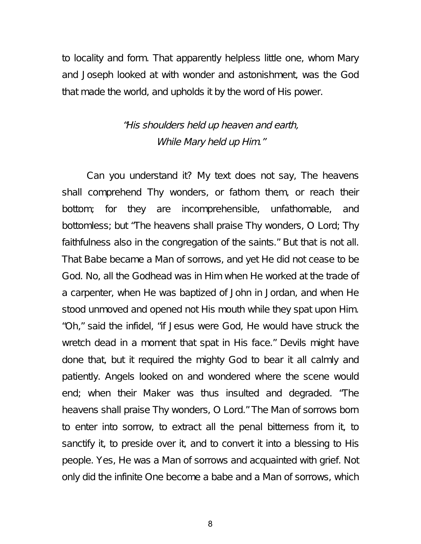to locality and form. That apparently helpless little one, whom Mary and Joseph looked at with wonder and astonishment, was the God that made the world, and upholds it by the word of His power.

#### "His shoulders held up heaven and earth, While Mary held up Him."

Can you understand it? My text does not say, The heavens shall comprehend Thy wonders, or fathom them, or reach their bottom; for they are incomprehensible, unfathomable, and bottomless; but "The heavens shall praise Thy wonders, O Lord; Thy faithfulness also in the congregation of the saints." But that is not all. That Babe became a Man of sorrows, and yet He did not cease to be God. No, all the Godhead was in Him when He worked at the trade of a carpenter, when He was baptized of John in Jordan, and when He stood unmoved and opened not His mouth while they spat upon Him. "Oh," said the infidel, "if Jesus were God, He would have struck the wretch dead in a moment that spat in His face." Devils might have done that, but it required the mighty God to bear it all calmly and patiently. Angels looked on and wondered where the scene would end; when their Maker was thus insulted and degraded. "The heavens shall praise Thy wonders, O Lord." The Man of sorrows born to enter into sorrow, to extract all the penal bitterness from it, to sanctify it, to preside over it, and to convert it into a blessing to His people. Yes, He was a Man of sorrows and acquainted with grief. Not only did the infinite One become a babe and a Man of sorrows, which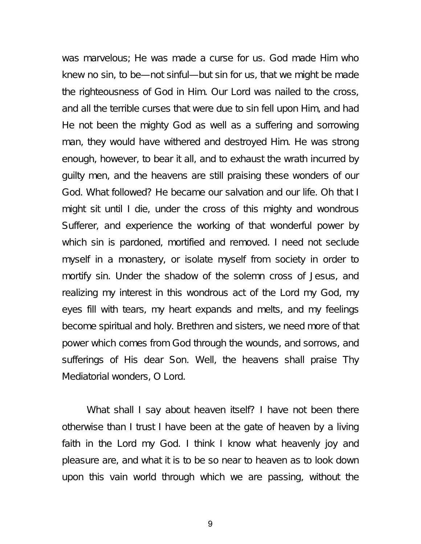was marvelous; He was made a curse for us. God made Him who knew no sin, to be—not sinful—but sin for us, that we might be made the righteousness of God in Him. Our Lord was nailed to the cross, and all the terrible curses that were due to sin fell upon Him, and had He not been the mighty God as well as a suffering and sorrowing man, they would have withered and destroyed Him. He was strong enough, however, to bear it all, and to exhaust the wrath incurred by guilty men, and the heavens are still praising these wonders of our God. What followed? He became our salvation and our life. Oh that I might sit until I die, under the cross of this mighty and wondrous Sufferer, and experience the working of that wonderful power by which sin is pardoned, mortified and removed. I need not seclude myself in a monastery, or isolate myself from society in order to mortify sin. Under the shadow of the solemn cross of Jesus, and realizing my interest in this wondrous act of the Lord my God, my eyes fill with tears, my heart expands and melts, and my feelings become spiritual and holy. Brethren and sisters, we need more of that power which comes from God through the wounds, and sorrows, and sufferings of His dear Son. Well, the heavens shall praise Thy Mediatorial wonders, O Lord.

What shall I say about heaven itself? I have not been there otherwise than I trust I have been at the gate of heaven by a living faith in the Lord my God. I think I know what heavenly joy and pleasure are, and what it is to be so near to heaven as to look down upon this vain world through which we are passing, without the

9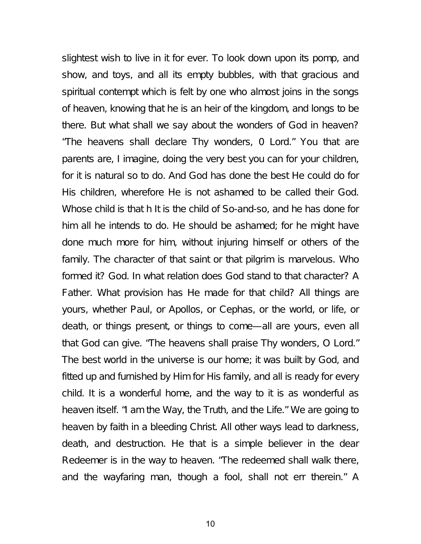slightest wish to live in it for ever. To look down upon its pomp, and show, and toys, and all its empty bubbles, with that gracious and spiritual contempt which is felt by one who almost joins in the songs of heaven, knowing that he is an heir of the kingdom, and longs to be there. But what shall we say about the wonders of God in heaven? "The heavens shall declare Thy wonders, 0 Lord." You that are parents are, I imagine, doing the very best you can for your children, for it is natural so to do. And God has done the best He could do for His children, wherefore He is not ashamed to be called their God. Whose child is that h It is the child of So-and-so, and he has done for him all he intends to do. He should be ashamed; for he might have done much more for him, without injuring himself or others of the family. The character of that saint or that pilgrim is marvelous. Who formed it? God. In what relation does God stand to that character? A Father. What provision has He made for that child? All things are yours, whether Paul, or Apollos, or Cephas, or the world, or life, or death, or things present, or things to come—all are yours, even all that God can give. "The heavens shall praise Thy wonders, O Lord." The best world in the universe is our home; it was built by God, and fitted up and furnished by Him for His family, and all is ready for every child. It is a wonderful home, and the way to it is as wonderful as heaven itself. "I am the Way, the Truth, and the Life." We are going to heaven by faith in a bleeding Christ. All other ways lead to darkness, death, and destruction. He that is a simple believer in the dear Redeemer is in the way to heaven. "The redeemed shall walk there, and the wayfaring man, though a fool, shall not err therein." A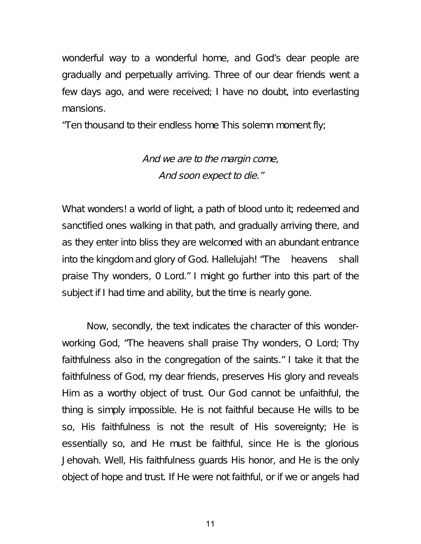wonderful way to a wonderful home, and God's dear people are gradually and perpetually arriving. Three of our dear friends went a few days ago, and were received; I have no doubt, into everlasting mansions.

"Ten thousand to their endless home This solemn moment fly;

## And we are to the margin come, And soon expect to die."

What wonders! a world of light, a path of blood unto it; redeemed and sanctified ones walking in that path, and gradually arriving there, and as they enter into bliss they are welcomed with an abundant entrance into the kingdom and glory of God. Hallelujah! "The heavens shall praise Thy wonders, 0 Lord." I might go further into this part of the subject if I had time and ability, but the time is nearly gone.

Now, secondly, the text indicates the character of this wonderworking God, "The heavens shall praise Thy wonders, O Lord; Thy faithfulness also in the congregation of the saints." I take it that the faithfulness of God, my dear friends, preserves His glory and reveals Him as a worthy object of trust. Our God cannot be unfaithful, the thing is simply impossible. He is not faithful because He wills to be so, His faithfulness is not the result of His sovereignty; He is essentially so, and He must be faithful, since He is the glorious Jehovah. Well, His faithfulness guards His honor, and He is the only object of hope and trust. If He were not faithful, or if we or angels had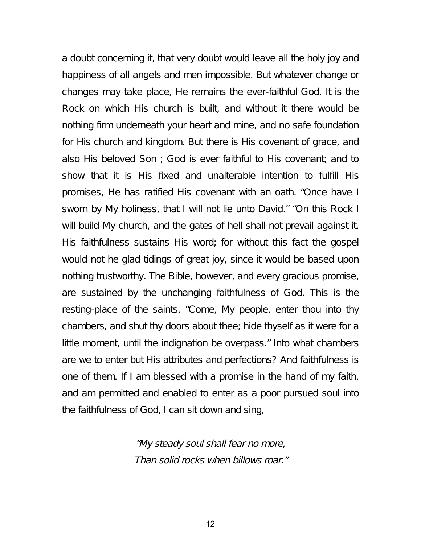a doubt concerning it, that very doubt would leave all the holy joy and happiness of all angels and men impossible. But whatever change or changes may take place, He remains the ever-faithful God. It is the Rock on which His church is built, and without it there would be nothing firm underneath your heart and mine, and no safe foundation for His church and kingdom. But there is His covenant of grace, and also His beloved Son ; God is ever faithful to His covenant; and to show that it is His fixed and unalterable intention to fulfill His promises, He has ratified His covenant with an oath. "Once have I sworn by My holiness, that I will not lie unto David." "On this Rock I will build My church, and the gates of hell shall not prevail against it. His faithfulness sustains His word; for without this fact the gospel would not he glad tidings of great joy, since it would be based upon nothing trustworthy. The Bible, however, and every gracious promise, are sustained by the unchanging faithfulness of God. This is the resting-place of the saints, "Come, My people, enter thou into thy chambers, and shut thy doors about thee; hide thyself as it were for a little moment, until the indignation be overpass." Into what chambers are we to enter but His attributes and perfections? And faithfulness is one of them. If I am blessed with a promise in the hand of my faith, and am permitted and enabled to enter as a poor pursued soul into the faithfulness of God, I can sit down and sing,

> "My steady soul shall fear no more, Than solid rocks when billows roar."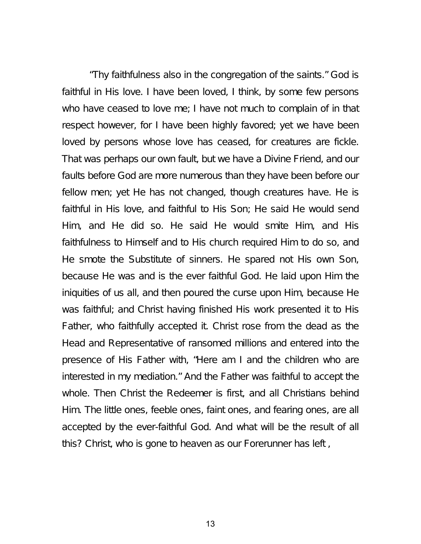"Thy faithfulness also in the congregation of the saints." God is faithful in His love. I have been loved, I think, by some few persons who have ceased to love me; I have not much to complain of in that respect however, for I have been highly favored; yet we have been loved by persons whose love has ceased, for creatures are fickle. That was perhaps our own fault, but we have a Divine Friend, and our faults before God are more numerous than they have been before our fellow men; yet He has not changed, though creatures have. He is faithful in His love, and faithful to His Son; He said He would send Him, and He did so. He said He would smite Him, and His faithfulness to Himself and to His church required Him to do so, and He smote the Substitute of sinners. He spared not His own Son, because He was and is the ever faithful God. He laid upon Him the iniquities of us all, and then poured the curse upon Him, because He was faithful; and Christ having finished His work presented it to His Father, who faithfully accepted it. Christ rose from the dead as the Head and Representative of ransomed millions and entered into the presence of His Father with, "Here am I and the children who are interested in my mediation." And the Father was faithful to accept the whole. Then Christ the Redeemer is first, and all Christians behind Him. The little ones, feeble ones, faint ones, and fearing ones, are all accepted by the ever-faithful God. And what will be the result of all this? Christ, who is gone to heaven as our Forerunner has left ,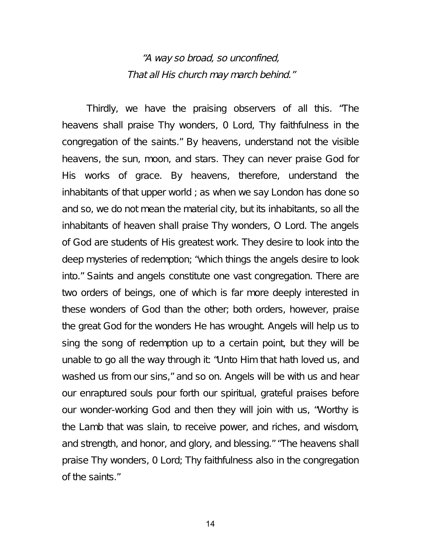#### "A way so broad, so unconfined, That all His church may march behind."

Thirdly, we have the praising observers of all this. "The heavens shall praise Thy wonders, 0 Lord, Thy faithfulness in the congregation of the saints." By heavens, understand not the visible heavens, the sun, moon, and stars. They can never praise God for His works of grace. By heavens, therefore, understand the inhabitants of that upper world ; as when we say London has done so and so, we do not mean the material city, but its inhabitants, so all the inhabitants of heaven shall praise Thy wonders, O Lord. The angels of God are students of His greatest work. They desire to look into the deep mysteries of redemption; "which things the angels desire to look into." Saints and angels constitute one vast congregation. There are two orders of beings, one of which is far more deeply interested in these wonders of God than the other; both orders, however, praise the great God for the wonders He has wrought. Angels will help us to sing the song of redemption up to a certain point, but they will be unable to go all the way through it: "Unto Him that hath loved us, and washed us from our sins," and so on. Angels will be with us and hear our enraptured souls pour forth our spiritual, grateful praises before our wonder-working God and then they will join with us, "Worthy is the Lamb that was slain, to receive power, and riches, and wisdom, and strength, and honor, and glory, and blessing." "The heavens shall praise Thy wonders, 0 Lord; Thy faithfulness also in the congregation of the saints."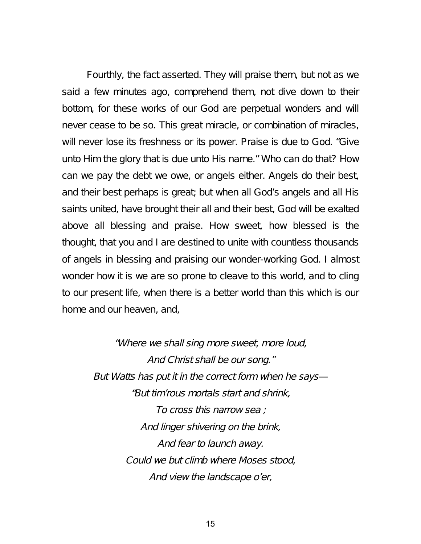Fourthly, the fact asserted. They will praise them, but not as we said a few minutes ago, comprehend them, not dive down to their bottom, for these works of our God are perpetual wonders and will never cease to be so. This great miracle, or combination of miracles, will never lose its freshness or its power. Praise is due to God. "Give unto Him the glory that is due unto His name." Who can do that? How can we pay the debt we owe, or angels either. Angels do their best, and their best perhaps is great; but when all God's angels and all His saints united, have brought their all and their best, God will be exalted above all blessing and praise. How sweet, how blessed is the thought, that you and I are destined to unite with countless thousands of angels in blessing and praising our wonder-working God. I almost wonder how it is we are so prone to cleave to this world, and to cling to our present life, when there is a better world than this which is our home and our heaven, and,

> "Where we shall sing more sweet, more loud, And Christ shall be our song." But Watts has put it in the correct form when he says— "But tim'rous mortals start and shrink, To cross this narrow sea ; And linger shivering on the brink, And fear to launch away. Could we but climb where Moses stood, And view the landscape <sup>o</sup>'er,